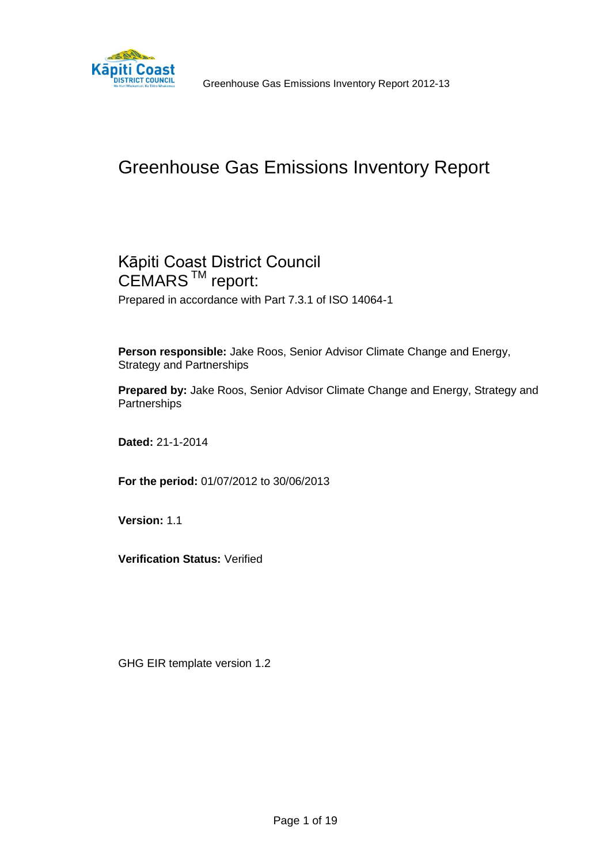

# Greenhouse Gas Emissions Inventory Report

# Kāpiti Coast District Council CEMARS<sup>™</sup> report:

Prepared in accordance with Part 7.3.1 of ISO 14064-1

**Person responsible:** Jake Roos, Senior Advisor Climate Change and Energy, Strategy and Partnerships

**Prepared by:** Jake Roos, Senior Advisor Climate Change and Energy, Strategy and **Partnerships** 

**Dated:** 21-1-2014

**For the period:** 01/07/2012 to 30/06/2013

**Version:** 1.1

**Verification Status:** Verified

GHG EIR template version 1.2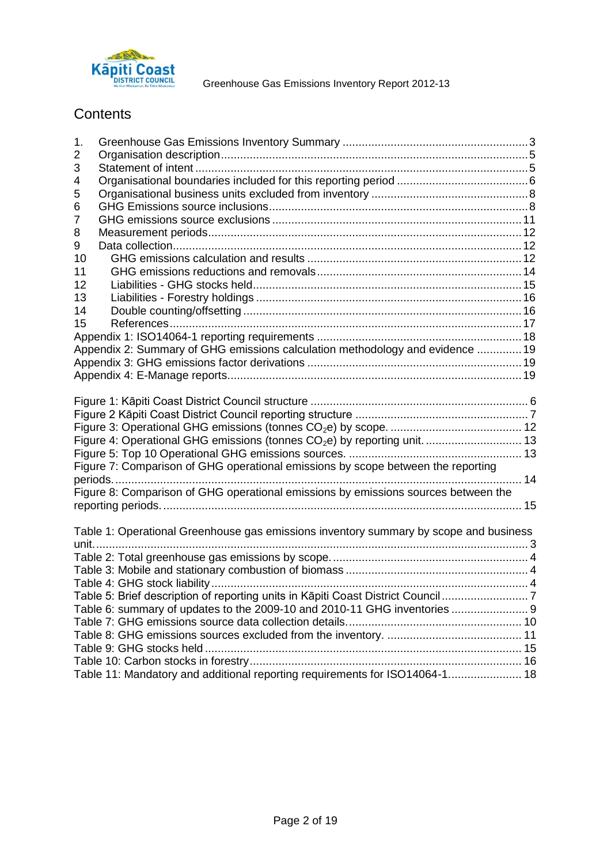

# **Contents**

| 1. |                                                                                       |  |
|----|---------------------------------------------------------------------------------------|--|
| 2  |                                                                                       |  |
| 3  |                                                                                       |  |
| 4  |                                                                                       |  |
| 5  |                                                                                       |  |
| 6  |                                                                                       |  |
| 7  |                                                                                       |  |
| 8  |                                                                                       |  |
| 9  |                                                                                       |  |
| 10 |                                                                                       |  |
| 11 |                                                                                       |  |
| 12 |                                                                                       |  |
| 13 |                                                                                       |  |
| 14 |                                                                                       |  |
| 15 |                                                                                       |  |
|    |                                                                                       |  |
|    | Appendix 2: Summary of GHG emissions calculation methodology and evidence  19         |  |
|    |                                                                                       |  |
|    |                                                                                       |  |
|    |                                                                                       |  |
|    |                                                                                       |  |
|    |                                                                                       |  |
|    |                                                                                       |  |
|    | Figure 4: Operational GHG emissions (tonnes CO <sub>2</sub> e) by reporting unit.  13 |  |
|    |                                                                                       |  |
|    | Figure 7: Comparison of GHG operational emissions by scope between the reporting      |  |
|    |                                                                                       |  |
|    | Figure 8: Comparison of GHG operational emissions by emissions sources between the    |  |
|    |                                                                                       |  |
|    |                                                                                       |  |
|    | Table 1: Operational Greenhouse gas emissions inventory summary by scope and business |  |
|    |                                                                                       |  |
|    |                                                                                       |  |
|    |                                                                                       |  |
|    |                                                                                       |  |
|    | Table 5: Brief description of reporting units in Kāpiti Coast District Council 7      |  |
|    | Table 6: summary of updates to the 2009-10 and 2010-11 GHG inventories  9             |  |
|    |                                                                                       |  |
|    |                                                                                       |  |
|    |                                                                                       |  |
|    |                                                                                       |  |
|    | Table 11: Mandatory and additional reporting requirements for ISO14064-1 18           |  |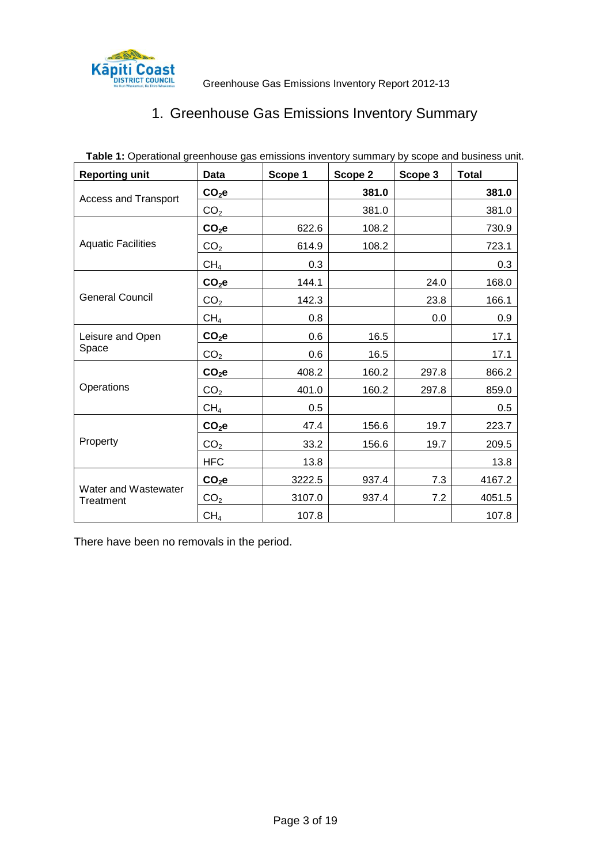<span id="page-2-0"></span>

# 1. Greenhouse Gas Emissions Inventory Summary

<span id="page-2-1"></span>

| <b>Reporting unit</b>             | <b>Data</b>       | Scope 1 | Scope 2 | Scope 3 | <b>Total</b> |
|-----------------------------------|-------------------|---------|---------|---------|--------------|
| <b>Access and Transport</b>       | CO <sub>2</sub> e |         | 381.0   |         | 381.0        |
|                                   | CO <sub>2</sub>   |         | 381.0   |         | 381.0        |
|                                   | CO <sub>2</sub> e | 622.6   | 108.2   |         | 730.9        |
| <b>Aquatic Facilities</b>         | CO <sub>2</sub>   | 614.9   | 108.2   |         | 723.1        |
|                                   | CH <sub>4</sub>   | 0.3     |         |         | 0.3          |
|                                   | CO <sub>2</sub> e | 144.1   |         | 24.0    | 168.0        |
| <b>General Council</b>            | CO <sub>2</sub>   | 142.3   |         | 23.8    | 166.1        |
|                                   | CH <sub>4</sub>   | 0.8     |         | 0.0     | 0.9          |
| Leisure and Open                  | CO <sub>2</sub> e | 0.6     | 16.5    |         | 17.1         |
| Space                             | CO <sub>2</sub>   | 0.6     | 16.5    |         | 17.1         |
|                                   | CO <sub>2</sub> e | 408.2   | 160.2   | 297.8   | 866.2        |
| Operations                        | CO <sub>2</sub>   | 401.0   | 160.2   | 297.8   | 859.0        |
|                                   | CH <sub>4</sub>   | 0.5     |         |         | 0.5          |
|                                   | CO <sub>2</sub> e | 47.4    | 156.6   | 19.7    | 223.7        |
| Property                          | CO <sub>2</sub>   | 33.2    | 156.6   | 19.7    | 209.5        |
|                                   | <b>HFC</b>        | 13.8    |         |         | 13.8         |
|                                   | CO <sub>2</sub> e | 3222.5  | 937.4   | 7.3     | 4167.2       |
| Water and Wastewater<br>Treatment | CO <sub>2</sub>   | 3107.0  | 937.4   | 7.2     | 4051.5       |
|                                   | CH <sub>4</sub>   | 107.8   |         |         | 107.8        |

**Table 1:** Operational greenhouse gas emissions inventory summary by scope and business unit.

There have been no removals in the period.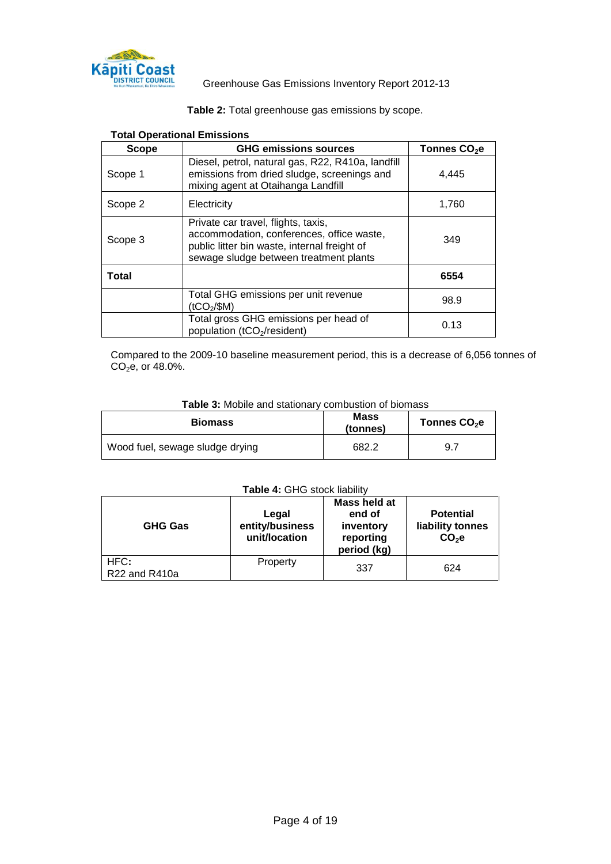

| Table 2: Total greenhouse gas emissions by scope. |
|---------------------------------------------------|
|---------------------------------------------------|

| Scope        | <b>GHG emissions sources</b>                                                                                                                                               | Tonnes CO <sub>2</sub> e |
|--------------|----------------------------------------------------------------------------------------------------------------------------------------------------------------------------|--------------------------|
| Scope 1      | Diesel, petrol, natural gas, R22, R410a, landfill<br>emissions from dried sludge, screenings and<br>mixing agent at Otaihanga Landfill                                     | 4.445                    |
| Scope 2      | Electricity                                                                                                                                                                | 1,760                    |
| Scope 3      | Private car travel, flights, taxis,<br>accommodation, conferences, office waste,<br>public litter bin waste, internal freight of<br>sewage sludge between treatment plants | 349                      |
| <b>Total</b> |                                                                                                                                                                            | 6554                     |
|              | Total GHG emissions per unit revenue<br>(tCO <sub>2</sub> /\$M)                                                                                                            | 98.9                     |
|              | Total gross GHG emissions per head of<br>population (tCO <sub>2</sub> /resident)                                                                                           | 0.13                     |

#### <span id="page-3-0"></span>**Total Operational Emissions**

Compared to the 2009-10 baseline measurement period, this is a decrease of 6,056 tonnes of  $CO<sub>2</sub>e$ , or 48.0%.

#### **Table 3:** Mobile and stationary combustion of biomass

<span id="page-3-1"></span>

| <b>Biomass</b>                  | <b>Mass</b><br>(tonnes) | Tonnes CO <sub>2</sub> e |
|---------------------------------|-------------------------|--------------------------|
| Wood fuel, sewage sludge drying | 682.2                   | 9.7                      |

#### **Table 4:** GHG stock liability

<span id="page-3-2"></span>

| <b>GHG Gas</b>        | Legal<br>entity/business<br>unit/location | Mass held at<br>end of<br>inventory<br>reporting<br>period (kg) | <b>Potential</b><br>liability tonnes<br>$CO2$ e |
|-----------------------|-------------------------------------------|-----------------------------------------------------------------|-------------------------------------------------|
| HFC:<br>R22 and R410a | Property                                  | 337                                                             | 624                                             |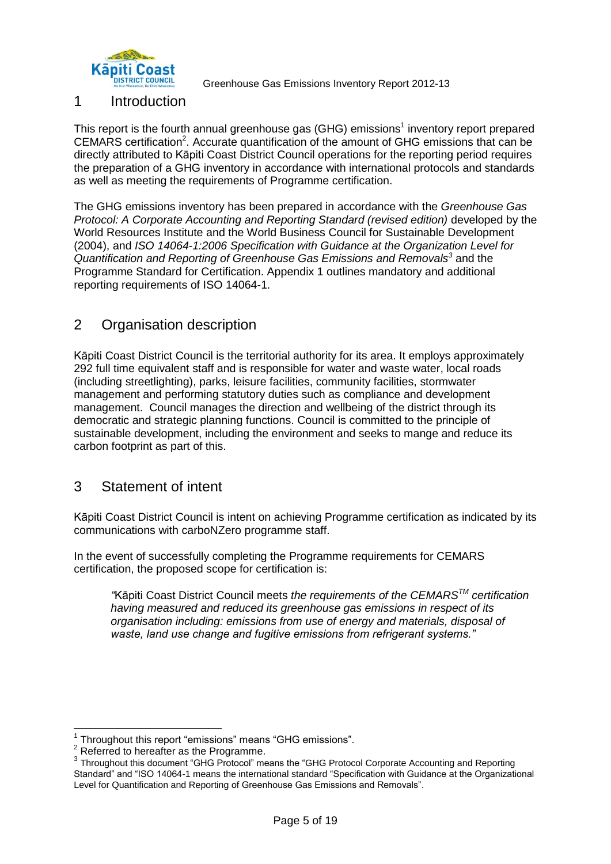

## 1 Introduction

This report is the fourth annual greenhouse gas (GHG) emissions<sup>1</sup> inventory report prepared CEMARS certification<sup>2</sup>. Accurate quantification of the amount of GHG emissions that can be directly attributed to Kāpiti Coast District Council operations for the reporting period requires the preparation of a GHG inventory in accordance with international protocols and standards as well as meeting the requirements of Programme certification.

The GHG emissions inventory has been prepared in accordance with the *Greenhouse Gas Protocol: A Corporate Accounting and Reporting Standard (revised edition)* developed by the World Resources Institute and the World Business Council for Sustainable Development (2004), and *ISO 14064-1:2006 Specification with Guidance at the Organization Level for Quantification and Reporting of Greenhouse Gas Emissions and Removals<sup>3</sup>* and the Programme Standard for Certification. Appendix 1 outlines mandatory and additional reporting requirements of ISO 14064-1.

# <span id="page-4-0"></span>2 Organisation description

Kāpiti Coast District Council is the territorial authority for its area. It employs approximately 292 full time equivalent staff and is responsible for water and waste water, local roads (including streetlighting), parks, leisure facilities, community facilities, stormwater management and performing statutory duties such as compliance and development management. Council manages the direction and wellbeing of the district through its democratic and strategic planning functions. Council is committed to the principle of sustainable development, including the environment and seeks to mange and reduce its carbon footprint as part of this.

## <span id="page-4-1"></span>3 Statement of intent

Kāpiti Coast District Council is intent on achieving Programme certification as indicated by its communications with carboNZero programme staff.

In the event of successfully completing the Programme requirements for CEMARS certification, the proposed scope for certification is:

*"*Kāpiti Coast District Council meets *the requirements of the CEMARSTM certification having measured and reduced its greenhouse gas emissions in respect of its organisation including: emissions from use of energy and materials, disposal of waste, land use change and fugitive emissions from refrigerant systems."*

 $\overline{1}$ <sup>1</sup> Throughout this report "emissions" means "GHG emissions".

<sup>&</sup>lt;sup>2</sup> Referred to hereafter as the Programme.

<sup>&</sup>lt;sup>3</sup> Throughout this document "GHG Protocol" means the "GHG Protocol Corporate Accounting and Reporting Standard" and "ISO 14064-1 means the international standard "Specification with Guidance at the Organizational Level for Quantification and Reporting of Greenhouse Gas Emissions and Removals".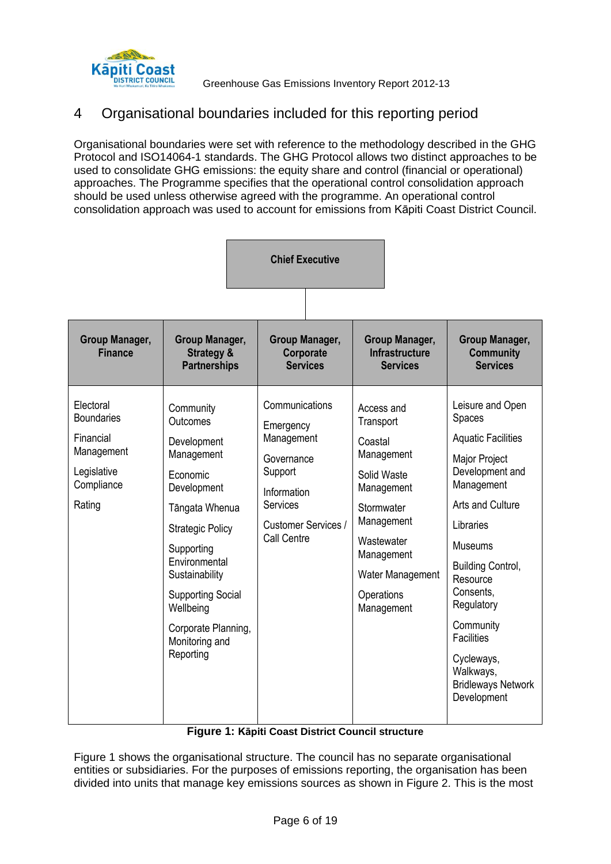

# <span id="page-5-0"></span>4 Organisational boundaries included for this reporting period

Organisational boundaries were set with reference to the methodology described in the GHG Protocol and ISO14064-1 standards. The GHG Protocol allows two distinct approaches to be used to consolidate GHG emissions: the equity share and control (financial or operational) approaches. The Programme specifies that the operational control consolidation approach should be used unless otherwise agreed with the programme. An operational control consolidation approach was used to account for emissions from Kāpiti Coast District Council.

|                                                                                                  | <b>Chief Executive</b>                                                                                                                                                                                                                                                     |                                                                                                                                     |  |                                                                                             |                                                                                               |                                                                                                                                                                                                                                                                                                                                                 |
|--------------------------------------------------------------------------------------------------|----------------------------------------------------------------------------------------------------------------------------------------------------------------------------------------------------------------------------------------------------------------------------|-------------------------------------------------------------------------------------------------------------------------------------|--|---------------------------------------------------------------------------------------------|-----------------------------------------------------------------------------------------------|-------------------------------------------------------------------------------------------------------------------------------------------------------------------------------------------------------------------------------------------------------------------------------------------------------------------------------------------------|
| <b>Group Manager,</b><br><b>Finance</b>                                                          | <b>Group Manager,</b><br><b>Strategy &amp;</b><br><b>Partnerships</b>                                                                                                                                                                                                      | <b>Group Manager,</b><br>Corporate<br><b>Services</b>                                                                               |  |                                                                                             | Group Manager,<br><b>Infrastructure</b><br><b>Services</b>                                    | Group Manager,<br><b>Community</b><br><b>Services</b>                                                                                                                                                                                                                                                                                           |
| Electoral<br><b>Boundaries</b><br>Financial<br>Management<br>Legislative<br>Compliance<br>Rating | Community<br>Outcomes<br>Development<br>Management<br>Economic<br>Development<br>Tāngata Whenua<br><b>Strategic Policy</b><br>Supporting<br>Environmental<br>Sustainability<br><b>Supporting Social</b><br>Wellbeing<br>Corporate Planning,<br>Monitoring and<br>Reporting | Communications<br>Emergency<br>Management<br>Governance<br>Support<br>Information<br>Services<br>Customer Services /<br>Call Centre |  | Access and<br>Transport<br>Coastal<br>Solid Waste<br>Stormwater<br>Wastewater<br>Operations | Management<br>Management<br>Management<br>Management<br><b>Water Management</b><br>Management | Leisure and Open<br><b>Spaces</b><br><b>Aquatic Facilities</b><br>Major Project<br>Development and<br>Management<br>Arts and Culture<br>Libraries<br><b>Museums</b><br><b>Building Control,</b><br>Resource<br>Consents,<br>Regulatory<br>Community<br><b>Facilities</b><br>Cycleways,<br>Walkways,<br><b>Bridleways Network</b><br>Development |

### **Figure 1: Kāpiti Coast District Council structure**

<span id="page-5-1"></span>[Figure 1](#page-5-1) shows the organisational structure. The council has no separate organisational entities or subsidiaries. For the purposes of emissions reporting, the organisation has been divided into units that manage key emissions sources as shown in Figure 2. This is the most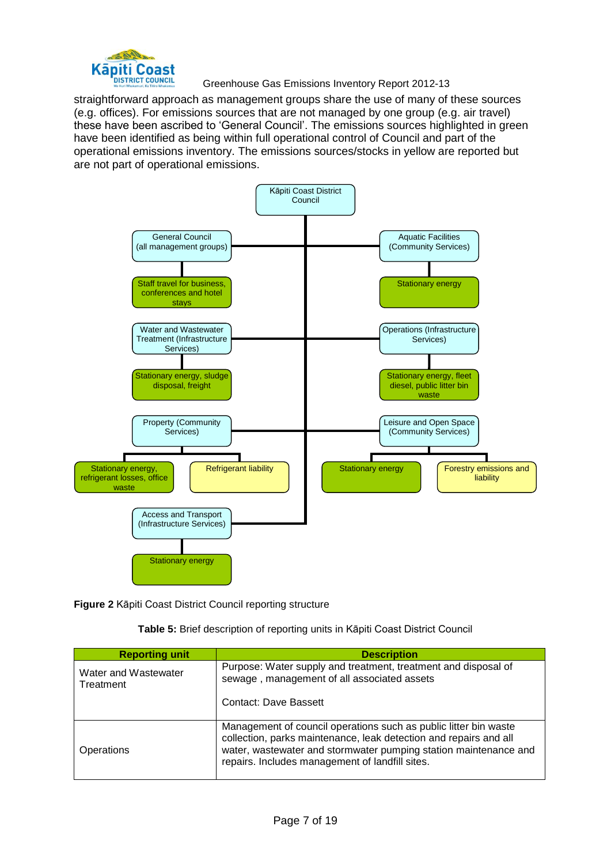

straightforward approach as management groups share the use of many of these sources (e.g. offices). For emissions sources that are not managed by one group (e.g. air travel) these have been ascribed to 'General Council'. The emissions sources highlighted in green have been identified as being within full operational control of Council and part of the operational emissions inventory. The emissions sources/stocks in yellow are reported but are not part of operational emissions.



<span id="page-6-0"></span>**Figure 2** Kāpiti Coast District Council reporting structure

| Table 5: Brief description of reporting units in Kāpiti Coast District Council |  |  |  |
|--------------------------------------------------------------------------------|--|--|--|
|--------------------------------------------------------------------------------|--|--|--|

<span id="page-6-1"></span>

| <b>Reporting unit</b>             | <b>Description</b>                                                                                                                                                                                                                                           |
|-----------------------------------|--------------------------------------------------------------------------------------------------------------------------------------------------------------------------------------------------------------------------------------------------------------|
| Water and Wastewater<br>Treatment | Purpose: Water supply and treatment, treatment and disposal of<br>sewage, management of all associated assets                                                                                                                                                |
|                                   | <b>Contact: Dave Bassett</b>                                                                                                                                                                                                                                 |
| Operations                        | Management of council operations such as public litter bin waste<br>collection, parks maintenance, leak detection and repairs and all<br>water, wastewater and stormwater pumping station maintenance and<br>repairs. Includes management of landfill sites. |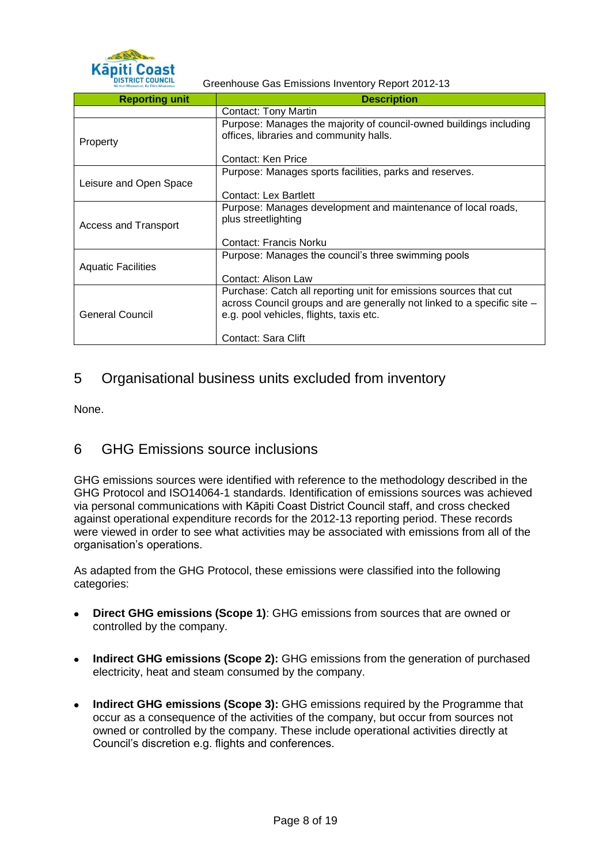

| <b>Reporting unit</b>       | <b>Description</b>                                                                                                                                                                      |
|-----------------------------|-----------------------------------------------------------------------------------------------------------------------------------------------------------------------------------------|
|                             | <b>Contact: Tony Martin</b>                                                                                                                                                             |
| Property                    | Purpose: Manages the majority of council-owned buildings including<br>offices, libraries and community halls.                                                                           |
|                             | Contact: Ken Price                                                                                                                                                                      |
| Leisure and Open Space      | Purpose: Manages sports facilities, parks and reserves.                                                                                                                                 |
|                             | Contact: Lex Bartlett                                                                                                                                                                   |
| <b>Access and Transport</b> | Purpose: Manages development and maintenance of local roads,<br>plus streetlighting                                                                                                     |
|                             | Contact: Francis Norku                                                                                                                                                                  |
| <b>Aquatic Facilities</b>   | Purpose: Manages the council's three swimming pools                                                                                                                                     |
|                             | Contact: Alison Law                                                                                                                                                                     |
| General Council             | Purchase: Catch all reporting unit for emissions sources that cut<br>across Council groups and are generally not linked to a specific site -<br>e.g. pool vehicles, flights, taxis etc. |
|                             | Contact: Sara Clift                                                                                                                                                                     |

# <span id="page-7-0"></span>5 Organisational business units excluded from inventory

None.

## <span id="page-7-1"></span>6 GHG Emissions source inclusions

GHG emissions sources were identified with reference to the methodology described in the GHG Protocol and ISO14064-1 standards. Identification of emissions sources was achieved via personal communications with Kāpiti Coast District Council staff, and cross checked against operational expenditure records for the 2012-13 reporting period. These records were viewed in order to see what activities may be associated with emissions from all of the organisation's operations.

As adapted from the GHG Protocol, these emissions were classified into the following categories:

- **Direct GHG emissions (Scope 1)**: GHG emissions from sources that are owned or controlled by the company.
- $\bullet$ **Indirect GHG emissions (Scope 2):** GHG emissions from the generation of purchased electricity, heat and steam consumed by the company.
- **Indirect GHG emissions (Scope 3):** GHG emissions required by the Programme that occur as a consequence of the activities of the company, but occur from sources not owned or controlled by the company. These include operational activities directly at Council's discretion e.g. flights and conferences.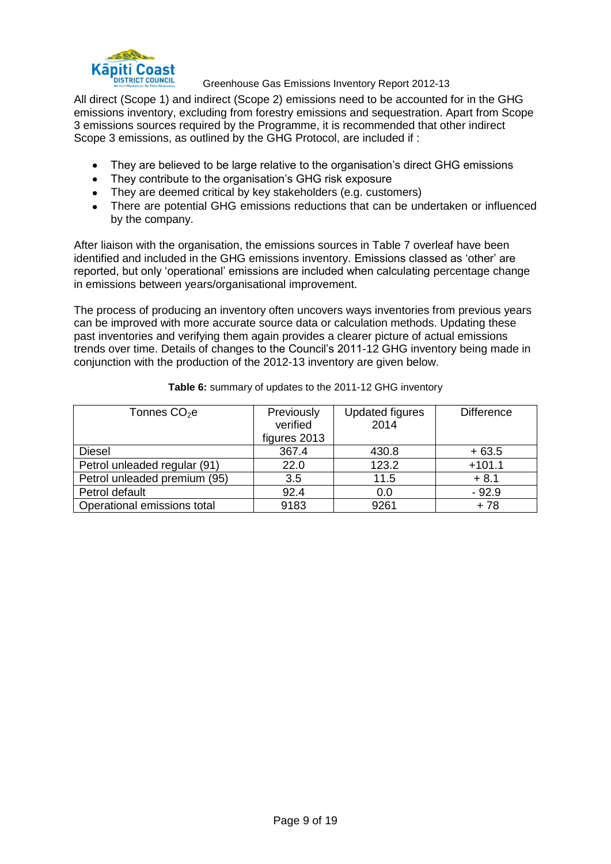

All direct (Scope 1) and indirect (Scope 2) emissions need to be accounted for in the GHG emissions inventory, excluding from forestry emissions and sequestration. Apart from Scope 3 emissions sources required by the Programme, it is recommended that other indirect Scope 3 emissions, as outlined by the GHG Protocol, are included if :

- They are believed to be large relative to the organisation's direct GHG emissions  $\bullet$
- They contribute to the organisation's GHG risk exposure
- They are deemed critical by key stakeholders (e.g. customers)
- There are potential GHG emissions reductions that can be undertaken or influenced by the company.

After liaison with the organisation, the emissions sources in [Table 7](#page-9-0) overleaf have been identified and included in the GHG emissions inventory. Emissions classed as 'other' are reported, but only 'operational' emissions are included when calculating percentage change in emissions between years/organisational improvement.

The process of producing an inventory often uncovers ways inventories from previous years can be improved with more accurate source data or calculation methods. Updating these past inventories and verifying them again provides a clearer picture of actual emissions trends over time. Details of changes to the Council's 2011-12 GHG inventory being made in conjunction with the production of the 2012-13 inventory are given below.

<span id="page-8-0"></span>

| Tonnes CO <sub>2</sub> e     | Previously   | <b>Updated figures</b> | <b>Difference</b> |
|------------------------------|--------------|------------------------|-------------------|
|                              | verified     | 2014                   |                   |
|                              | figures 2013 |                        |                   |
| <b>Diesel</b>                | 367.4        | 430.8                  | $+63.5$           |
| Petrol unleaded regular (91) | 22.0         | 123.2                  | $+101.1$          |
| Petrol unleaded premium (95) | 3.5          | 11.5                   | $+8.1$            |
| Petrol default               | 92.4         | 0.0                    | $-92.9$           |
| Operational emissions total  | 9183         | 9261                   | + 78              |

#### **Table 6:** summary of updates to the 2011-12 GHG inventory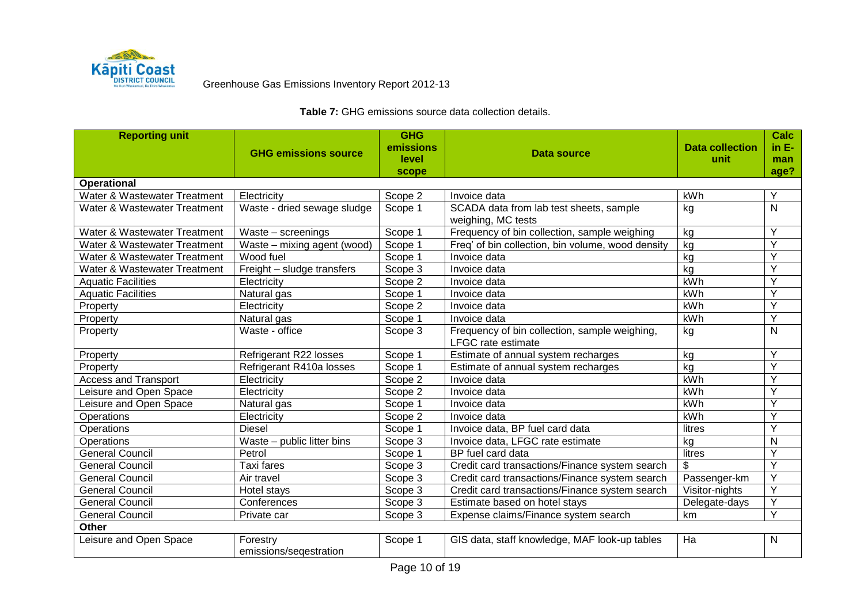

<span id="page-9-0"></span>

| <b>Reporting unit</b>        |                             | <b>GHG</b>         |                                                   |                        | <b>Calc</b>    |
|------------------------------|-----------------------------|--------------------|---------------------------------------------------|------------------------|----------------|
|                              | <b>GHG emissions source</b> | emissions<br>level | Data source                                       | <b>Data collection</b> | $in E-$        |
|                              |                             | scope              |                                                   | unit                   | man<br>age?    |
| <b>Operational</b>           |                             |                    |                                                   |                        |                |
| Water & Wastewater Treatment | Electricity                 | Scope 2            | Invoice data                                      | kWh                    | Υ              |
| Water & Wastewater Treatment | Waste - dried sewage sludge | Scope 1            | SCADA data from lab test sheets, sample           | kg                     | $\mathsf{N}$   |
|                              |                             |                    | weighing, MC tests                                |                        |                |
| Water & Wastewater Treatment | Waste - screenings          | Scope 1            | Frequency of bin collection, sample weighing      | kg                     | Y              |
| Water & Wastewater Treatment | Waste - mixing agent (wood) | Scope 1            | Freq' of bin collection, bin volume, wood density | kg                     | Y              |
| Water & Wastewater Treatment | Wood fuel                   | Scope 1            | Invoice data                                      | kg                     | Ÿ              |
| Water & Wastewater Treatment | Freight - sludge transfers  | Scope 3            | Invoice data                                      | kg                     | Y              |
| <b>Aquatic Facilities</b>    | Electricity                 | Scope 2            | Invoice data                                      | kWh                    | $\overline{Y}$ |
| <b>Aquatic Facilities</b>    | Natural gas                 | Scope 1            | Invoice data                                      | kWh                    | Ÿ              |
| Property                     | Electricity                 | Scope 2            | Invoice data                                      | kWh                    | Ÿ              |
| Property                     | Natural gas                 | Scope 1            | Invoice data                                      | kWh                    | Y              |
| Property                     | Waste - office              | Scope 3            | Frequency of bin collection, sample weighing,     | kg                     | N              |
|                              |                             |                    | LFGC rate estimate                                |                        |                |
| Property                     | Refrigerant R22 losses      | Scope 1            | Estimate of annual system recharges               | kg                     | Y              |
| Property                     | Refrigerant R410a losses    | Scope 1            | Estimate of annual system recharges               | kg                     | $\overline{Y}$ |
| <b>Access and Transport</b>  | Electricity                 | Scope 2            | Invoice data                                      | kWh                    | Ÿ              |
| Leisure and Open Space       | Electricity                 | Scope 2            | Invoice data                                      | kWh                    | Ÿ              |
| Leisure and Open Space       | Natural gas                 | Scope 1            | Invoice data                                      | kWh                    | Y              |
| Operations                   | Electricity                 | Scope 2            | Invoice data                                      | kWh                    | Y              |
| Operations                   | <b>Diesel</b>               | Scope 1            | Invoice data, BP fuel card data                   | litres                 | Y              |
| Operations                   | Waste - public litter bins  | Scope 3            | Invoice data, LFGC rate estimate                  | kg                     | N              |
| <b>General Council</b>       | Petrol                      | Scope 1            | BP fuel card data                                 | litres                 | $\overline{Y}$ |
| <b>General Council</b>       | Taxi fares                  | Scope 3            | Credit card transactions/Finance system search    | \$                     | Y              |
| <b>General Council</b>       | Air travel                  | Scope 3            | Credit card transactions/Finance system search    | Passenger-km           | Ÿ              |
| <b>General Council</b>       | Hotel stays                 | Scope 3            | Credit card transactions/Finance system search    | Visitor-nights         | Y              |
| <b>General Council</b>       | Conferences                 | Scope 3            | Estimate based on hotel stays                     | Delegate-days          | Ÿ              |
| <b>General Council</b>       | Private car                 | Scope 3            | Expense claims/Finance system search              | km                     | Y              |
| Other                        |                             |                    |                                                   |                        |                |
| Leisure and Open Space       | Forestry                    | Scope 1            | GIS data, staff knowledge, MAF look-up tables     | Ha                     | $\mathsf{N}$   |
|                              | emissions/seqestration      |                    |                                                   |                        |                |

### **Table 7:** GHG emissions source data collection details.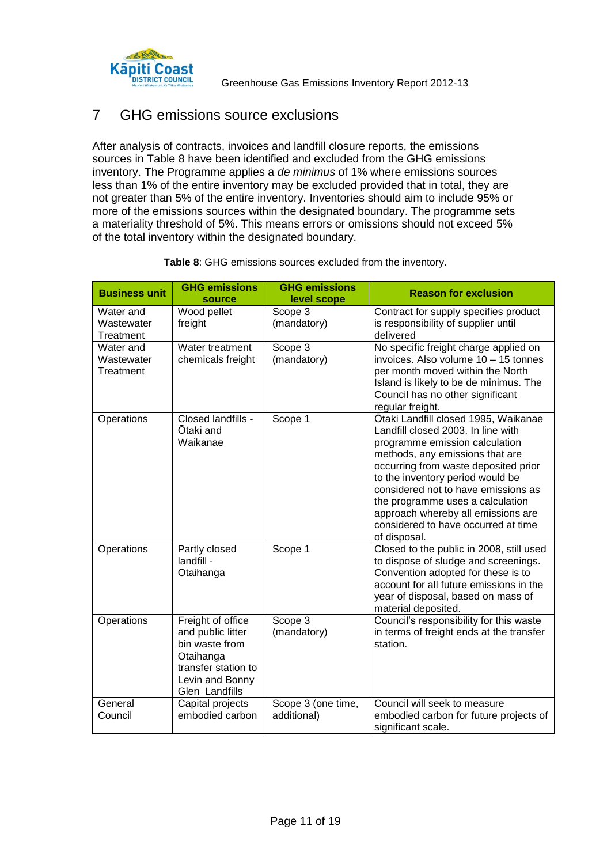

## <span id="page-10-0"></span>7 GHG emissions source exclusions

After analysis of contracts, invoices and landfill closure reports, the emissions sources in [Table 8](#page-10-2) have been identified and excluded from the GHG emissions inventory. The Programme applies a *de minimus* of 1% where emissions sources less than 1% of the entire inventory may be excluded provided that in total, they are not greater than 5% of the entire inventory. Inventories should aim to include 95% or more of the emissions sources within the designated boundary. The programme sets a materiality threshold of 5%. This means errors or omissions should not exceed 5% of the total inventory within the designated boundary.

<span id="page-10-2"></span><span id="page-10-1"></span>

| <b>Business unit</b>                 | <b>GHG emissions</b><br>source                                                                                                    | <b>GHG emissions</b><br>level scope | <b>Reason for exclusion</b>                                                                                                                                                                                                                                                                                                                                                                         |
|--------------------------------------|-----------------------------------------------------------------------------------------------------------------------------------|-------------------------------------|-----------------------------------------------------------------------------------------------------------------------------------------------------------------------------------------------------------------------------------------------------------------------------------------------------------------------------------------------------------------------------------------------------|
| Water and<br>Wastewater<br>Treatment | Wood pellet<br>freight                                                                                                            | Scope 3<br>(mandatory)              | Contract for supply specifies product<br>is responsibility of supplier until<br>delivered                                                                                                                                                                                                                                                                                                           |
| Water and<br>Wastewater<br>Treatment | Water treatment<br>chemicals freight                                                                                              | Scope 3<br>(mandatory)              | No specific freight charge applied on<br>invoices. Also volume 10 - 15 tonnes<br>per month moved within the North<br>Island is likely to be de minimus. The<br>Council has no other significant<br>regular freight.                                                                                                                                                                                 |
| Operations                           | Closed landfills -<br>Ōtaki and<br>Waikanae                                                                                       | Scope 1                             | Ōtaki Landfill closed 1995, Waikanae<br>Landfill closed 2003. In line with<br>programme emission calculation<br>methods, any emissions that are<br>occurring from waste deposited prior<br>to the inventory period would be<br>considered not to have emissions as<br>the programme uses a calculation<br>approach whereby all emissions are<br>considered to have occurred at time<br>of disposal. |
| Operations                           | Partly closed<br>landfill -<br>Otaihanga                                                                                          | Scope 1                             | Closed to the public in 2008, still used<br>to dispose of sludge and screenings.<br>Convention adopted for these is to<br>account for all future emissions in the<br>year of disposal, based on mass of<br>material deposited.                                                                                                                                                                      |
| Operations                           | Freight of office<br>and public litter<br>bin waste from<br>Otaihanga<br>transfer station to<br>Levin and Bonny<br>Glen Landfills | Scope 3<br>(mandatory)              | Council's responsibility for this waste<br>in terms of freight ends at the transfer<br>station.                                                                                                                                                                                                                                                                                                     |
| General<br>Council                   | Capital projects<br>embodied carbon                                                                                               | Scope 3 (one time,<br>additional)   | Council will seek to measure<br>embodied carbon for future projects of<br>significant scale.                                                                                                                                                                                                                                                                                                        |

#### **Table 8**: GHG emissions sources excluded from the inventory.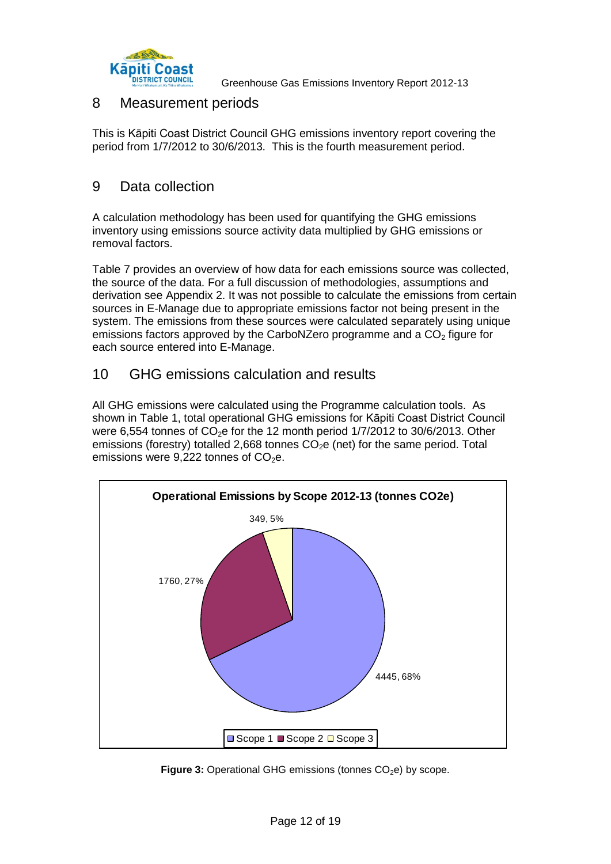

### <span id="page-11-0"></span>8 Measurement periods

This is Kāpiti Coast District Council GHG emissions inventory report covering the period from 1/7/2012 to 30/6/2013. This is the fourth measurement period.

## <span id="page-11-1"></span>9 Data collection

A calculation methodology has been used for quantifying the GHG emissions inventory using emissions source activity data multiplied by GHG emissions or removal factors.

Table 7 provides an overview of how data for each emissions source was collected, the source of the data. For a full discussion of methodologies, assumptions and derivation see Appendix 2. It was not possible to calculate the emissions from certain sources in E-Manage due to appropriate emissions factor not being present in the system. The emissions from these sources were calculated separately using unique emissions factors approved by the CarboNZero programme and a  $CO<sub>2</sub>$  figure for each source entered into E-Manage.

## <span id="page-11-2"></span>10 GHG emissions calculation and results

All GHG emissions were calculated using the Programme calculation tools. As shown in Table 1, total operational GHG emissions for Kāpiti Coast District Council were 6,554 tonnes of  $CO<sub>2</sub>e$  for the 12 month period 1/7/2012 to 30/6/2013. Other emissions (forestry) totalled 2,668 tonnes  $CO<sub>2</sub>e$  (net) for the same period. Total emissions were  $9.222$  tonnes of  $CO<sub>2</sub>e$ .



<span id="page-11-3"></span>**Figure 3:** Operational GHG emissions (tonnes CO<sub>2</sub>e) by scope.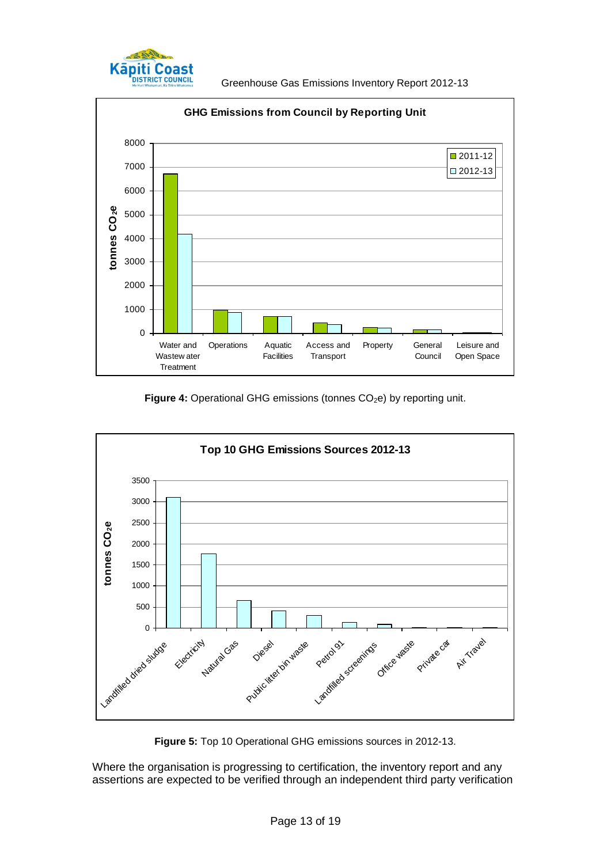

<span id="page-12-0"></span>

Figure 4: Operational GHG emissions (tonnes CO<sub>2</sub>e) by reporting unit.



**Figure 5:** Top 10 Operational GHG emissions sources in 2012-13.

<span id="page-12-1"></span>Where the organisation is progressing to certification, the inventory report and any assertions are expected to be verified through an independent third party verification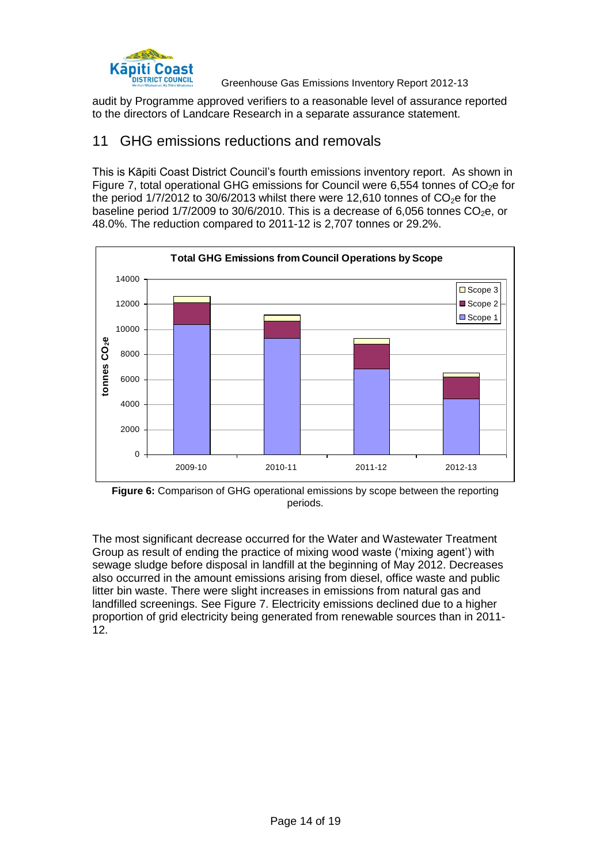

audit by Programme approved verifiers to a reasonable level of assurance reported to the directors of Landcare Research in a separate assurance statement.

### <span id="page-13-0"></span>11 GHG emissions reductions and removals

This is Kāpiti Coast District Council's fourth emissions inventory report. As shown in Figure 7, total operational GHG emissions for Council were 6,554 tonnes of  $CO<sub>2</sub>e$  for the period  $1/7/2012$  to  $30/6/2013$  whilst there were 12,610 tonnes of  $CO<sub>2</sub>e$  for the baseline period  $1/7/2009$  to  $30/6/2010$ . This is a decrease of 6,056 tonnes  $CO<sub>2</sub>e$ , or 48.0%. The reduction compared to 2011-12 is 2,707 tonnes or 29.2%.



<span id="page-13-1"></span>**Figure 6:** Comparison of GHG operational emissions by scope between the reporting periods.

The most significant decrease occurred for the Water and Wastewater Treatment Group as result of ending the practice of mixing wood waste ('mixing agent') with sewage sludge before disposal in landfill at the beginning of May 2012. Decreases also occurred in the amount emissions arising from diesel, office waste and public litter bin waste. There were slight increases in emissions from natural gas and landfilled screenings. See Figure 7. Electricity emissions declined due to a higher proportion of grid electricity being generated from renewable sources than in 2011- 12.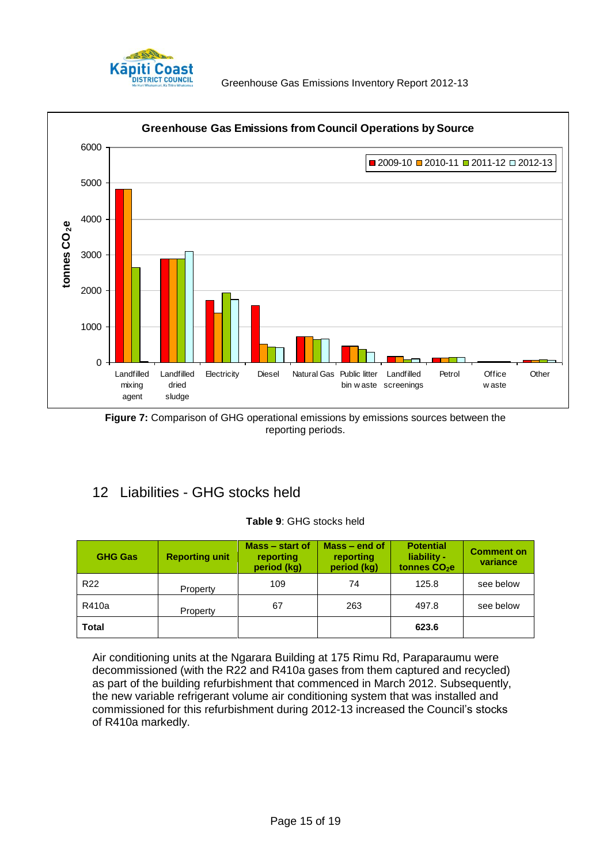



<span id="page-14-2"></span>**Figure 7:** Comparison of GHG operational emissions by emissions sources between the reporting periods.

# <span id="page-14-3"></span><span id="page-14-0"></span>12 Liabilities - GHG stocks held

### **Table 9**: GHG stocks held

| <b>GHG Gas</b>  | <b>Reporting unit</b> | Mass – start of<br>reporting<br>period (kg) | $Mass - end of$<br>reporting<br>period (kg) | <b>Potential</b><br>liability -<br>tonnes CO <sub>2</sub> e | <b>Comment on</b><br>variance |
|-----------------|-----------------------|---------------------------------------------|---------------------------------------------|-------------------------------------------------------------|-------------------------------|
| R <sub>22</sub> | Property              | 109                                         | 74                                          | 125.8                                                       | see below                     |
| R410a           | Property              | 67                                          | 263                                         | 497.8                                                       | see below                     |
| <b>Total</b>    |                       |                                             |                                             | 623.6                                                       |                               |

<span id="page-14-1"></span>Air conditioning units at the Ngarara Building at 175 Rimu Rd, Paraparaumu were decommissioned (with the R22 and R410a gases from them captured and recycled) as part of the building refurbishment that commenced in March 2012. Subsequently, the new variable refrigerant volume air conditioning system that was installed and commissioned for this refurbishment during 2012-13 increased the Council's stocks of R410a markedly.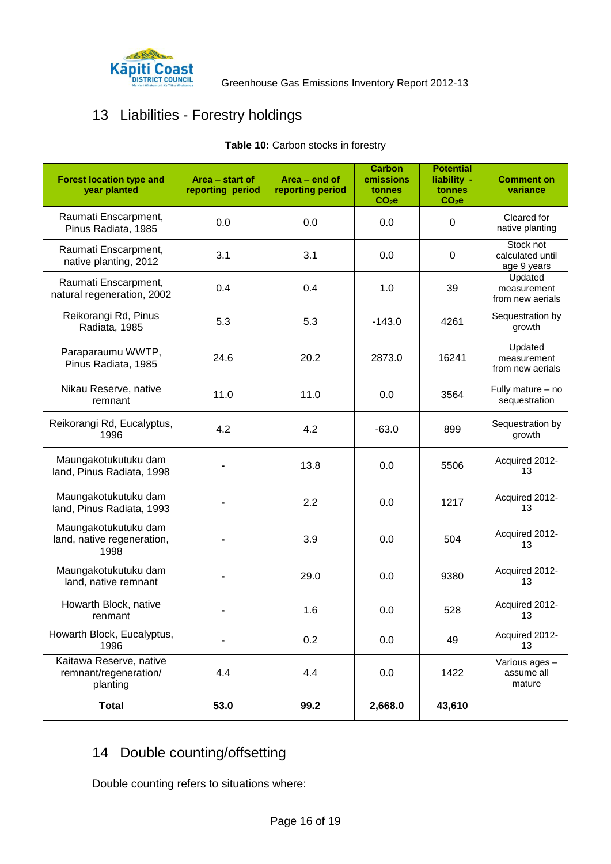

# <span id="page-15-1"></span>13 Liabilities - Forestry holdings

| <b>Forest location type and</b><br>year planted              | Area - start of<br>reporting period | Area - end of<br>reporting period | <b>Carbon</b><br>emissions<br>tonnes<br>CO <sub>2</sub> e | <b>Potential</b><br>liability -<br>tonnes<br>CO <sub>2</sub> e | <b>Comment on</b><br>variance                |
|--------------------------------------------------------------|-------------------------------------|-----------------------------------|-----------------------------------------------------------|----------------------------------------------------------------|----------------------------------------------|
| Raumati Enscarpment,<br>Pinus Radiata, 1985                  | 0.0                                 | 0.0                               | 0.0                                                       | 0                                                              | Cleared for<br>native planting               |
| Raumati Enscarpment,<br>native planting, 2012                | 3.1                                 | 3.1                               | 0.0                                                       | 0                                                              | Stock not<br>calculated until<br>age 9 years |
| Raumati Enscarpment,<br>natural regeneration, 2002           | 0.4                                 | 0.4                               | 1.0                                                       | 39                                                             | Updated<br>measurement<br>from new aerials   |
| Reikorangi Rd, Pinus<br>Radiata, 1985                        | 5.3                                 | 5.3                               | $-143.0$                                                  | 4261                                                           | Sequestration by<br>growth                   |
| Paraparaumu WWTP,<br>Pinus Radiata, 1985                     | 24.6                                | 20.2                              | 2873.0                                                    | 16241                                                          | Updated<br>measurement<br>from new aerials   |
| Nikau Reserve, native<br>remnant                             | 11.0                                | 11.0                              | 0.0                                                       | 3564                                                           | Fully mature - no<br>sequestration           |
| Reikorangi Rd, Eucalyptus,<br>1996                           | 4.2                                 | 4.2                               | $-63.0$                                                   | 899                                                            | Sequestration by<br>growth                   |
| Maungakotukutuku dam<br>land, Pinus Radiata, 1998            |                                     | 13.8                              | 0.0                                                       | 5506                                                           | Acquired 2012-<br>13                         |
| Maungakotukutuku dam<br>land, Pinus Radiata, 1993            |                                     | 2.2                               | 0.0                                                       | 1217                                                           | Acquired 2012-<br>13                         |
| Maungakotukutuku dam<br>land, native regeneration,<br>1998   |                                     | 3.9                               | 0.0                                                       | 504                                                            | Acquired 2012-<br>13                         |
| Maungakotukutuku dam<br>land, native remnant                 |                                     | 29.0                              | 0.0                                                       | 9380                                                           | Acquired 2012-<br>13                         |
| Howarth Block, native<br>renmant                             |                                     | 1.6                               | 0.0                                                       | 528                                                            | Acquired 2012-<br>13                         |
| Howarth Block, Eucalyptus,<br>1996                           |                                     | 0.2                               | 0.0                                                       | 49                                                             | Acquired 2012-<br>13                         |
| Kaitawa Reserve, native<br>remnant/regeneration/<br>planting | 4.4                                 | 4.4                               | 0.0                                                       | 1422                                                           | Various ages -<br>assume all<br>mature       |
| <b>Total</b>                                                 | 53.0                                | 99.2                              | 2,668.0                                                   | 43,610                                                         |                                              |

### Table 10: Carbon stocks in forestry

# <span id="page-15-0"></span>14 Double counting/offsetting

Double counting refers to situations where: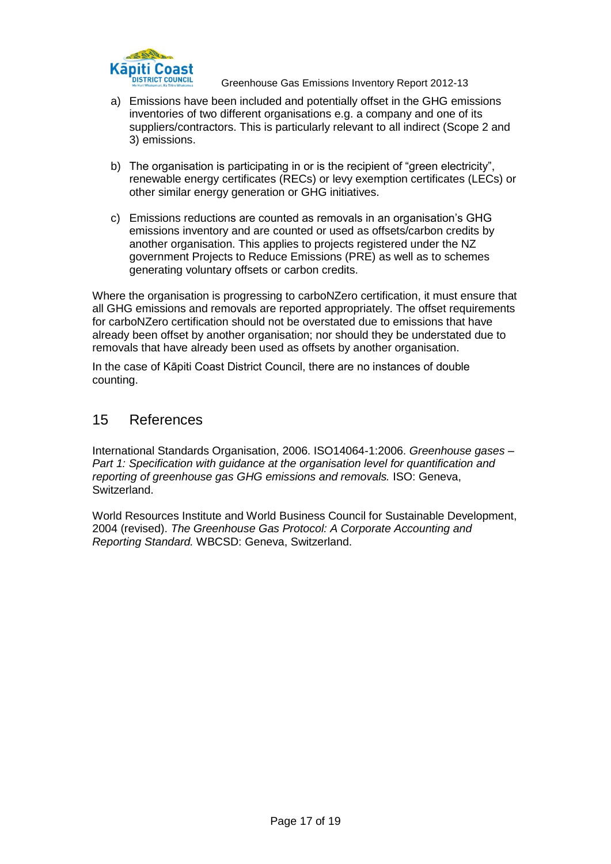

- a) Emissions have been included and potentially offset in the GHG emissions inventories of two different organisations e.g. a company and one of its suppliers/contractors. This is particularly relevant to all indirect (Scope 2 and 3) emissions.
- b) The organisation is participating in or is the recipient of "green electricity", renewable energy certificates (RECs) or levy exemption certificates (LECs) or other similar energy generation or GHG initiatives.
- c) Emissions reductions are counted as removals in an organisation's GHG emissions inventory and are counted or used as offsets/carbon credits by another organisation. This applies to projects registered under the NZ government Projects to Reduce Emissions (PRE) as well as to schemes generating voluntary offsets or carbon credits.

Where the organisation is progressing to carboNZero certification, it must ensure that all GHG emissions and removals are reported appropriately. The offset requirements for carboNZero certification should not be overstated due to emissions that have already been offset by another organisation; nor should they be understated due to removals that have already been used as offsets by another organisation.

In the case of Kāpiti Coast District Council, there are no instances of double counting.

## <span id="page-16-0"></span>15 References

International Standards Organisation, 2006. ISO14064-1:2006. *Greenhouse gases – Part 1: Specification with guidance at the organisation level for quantification and reporting of greenhouse gas GHG emissions and removals.* ISO: Geneva, Switzerland.

World Resources Institute and World Business Council for Sustainable Development, 2004 (revised). *The Greenhouse Gas Protocol: A Corporate Accounting and Reporting Standard.* WBCSD: Geneva, Switzerland.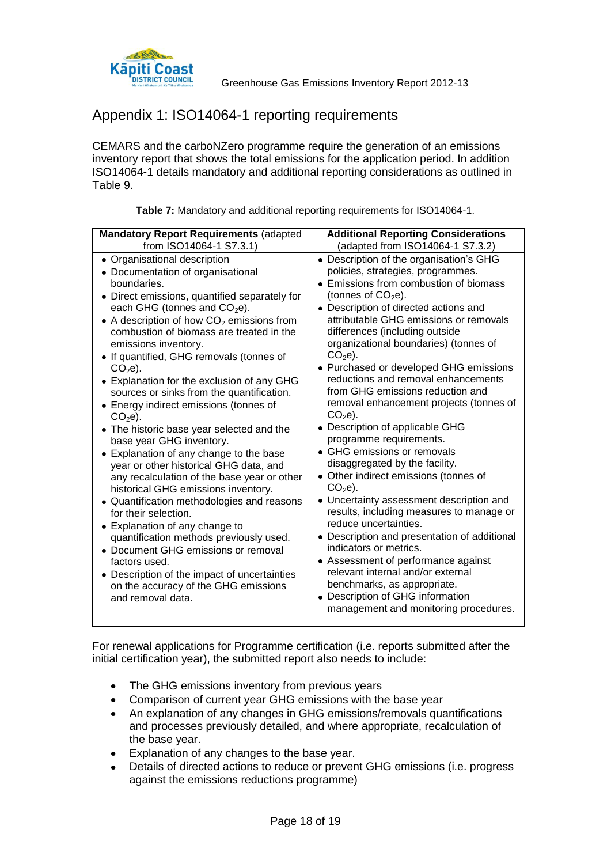

# <span id="page-17-0"></span>Appendix 1: ISO14064-1 reporting requirements

CEMARS and the carboNZero programme require the generation of an emissions inventory report that shows the total emissions for the application period. In addition ISO14064-1 details mandatory and additional reporting considerations as outlined in Table 9.

<span id="page-17-1"></span>

| <b>Mandatory Report Requirements (adapted</b>                                                                                                                                                                                                                                                                                                                                                                                                                                                                                                                                                                                                                                                                                                                                                                                                                                                                                                                                                                                                                                 | <b>Additional Reporting Considerations</b>                                                                                                                                                                                                                                                                                                                                                                                                                                                                                                                                                                                                                                                                                                                                                                                                                                                                                                                                                                                                                                     |  |  |
|-------------------------------------------------------------------------------------------------------------------------------------------------------------------------------------------------------------------------------------------------------------------------------------------------------------------------------------------------------------------------------------------------------------------------------------------------------------------------------------------------------------------------------------------------------------------------------------------------------------------------------------------------------------------------------------------------------------------------------------------------------------------------------------------------------------------------------------------------------------------------------------------------------------------------------------------------------------------------------------------------------------------------------------------------------------------------------|--------------------------------------------------------------------------------------------------------------------------------------------------------------------------------------------------------------------------------------------------------------------------------------------------------------------------------------------------------------------------------------------------------------------------------------------------------------------------------------------------------------------------------------------------------------------------------------------------------------------------------------------------------------------------------------------------------------------------------------------------------------------------------------------------------------------------------------------------------------------------------------------------------------------------------------------------------------------------------------------------------------------------------------------------------------------------------|--|--|
| from ISO14064-1 S7.3.1)                                                                                                                                                                                                                                                                                                                                                                                                                                                                                                                                                                                                                                                                                                                                                                                                                                                                                                                                                                                                                                                       | (adapted from ISO14064-1 S7.3.2)                                                                                                                                                                                                                                                                                                                                                                                                                                                                                                                                                                                                                                                                                                                                                                                                                                                                                                                                                                                                                                               |  |  |
| • Organisational description<br>• Documentation of organisational<br>boundaries.<br>• Direct emissions, quantified separately for<br>each GHG (tonnes and $CO2e$ ).<br>• A description of how $CO2$ emissions from<br>combustion of biomass are treated in the<br>emissions inventory.<br>• If quantified, GHG removals (tonnes of<br>$CO2e$ ).<br>• Explanation for the exclusion of any GHG<br>sources or sinks from the quantification.<br>• Energy indirect emissions (tonnes of<br>$CO2e$ ).<br>• The historic base year selected and the<br>base year GHG inventory.<br>• Explanation of any change to the base<br>year or other historical GHG data, and<br>any recalculation of the base year or other<br>historical GHG emissions inventory.<br>• Quantification methodologies and reasons<br>for their selection.<br>• Explanation of any change to<br>quantification methods previously used.<br>• Document GHG emissions or removal<br>factors used.<br>• Description of the impact of uncertainties<br>on the accuracy of the GHG emissions<br>and removal data. | • Description of the organisation's GHG<br>policies, strategies, programmes.<br>• Emissions from combustion of biomass<br>(tonnes of $CO2e$ ).<br>• Description of directed actions and<br>attributable GHG emissions or removals<br>differences (including outside<br>organizational boundaries) (tonnes of<br>$CO2e$ ).<br>• Purchased or developed GHG emissions<br>reductions and removal enhancements<br>from GHG emissions reduction and<br>removal enhancement projects (tonnes of<br>$CO2e$ ).<br>• Description of applicable GHG<br>programme requirements.<br>• GHG emissions or removals<br>disaggregated by the facility.<br>• Other indirect emissions (tonnes of<br>$CO2e$ ).<br>• Uncertainty assessment description and<br>results, including measures to manage or<br>reduce uncertainties.<br>• Description and presentation of additional<br>indicators or metrics.<br>• Assessment of performance against<br>relevant internal and/or external<br>benchmarks, as appropriate.<br>• Description of GHG information<br>management and monitoring procedures. |  |  |

| Table 7: Mandatory and additional reporting requirements for ISO14064-1. |  |  |
|--------------------------------------------------------------------------|--|--|
|                                                                          |  |  |

For renewal applications for Programme certification (i.e. reports submitted after the initial certification year), the submitted report also needs to include:

- The GHG emissions inventory from previous years  $\bullet$
- Comparison of current year GHG emissions with the base year
- $\bullet$ An explanation of any changes in GHG emissions/removals quantifications and processes previously detailed, and where appropriate, recalculation of the base year.
- Explanation of any changes to the base year.  $\bullet$
- Details of directed actions to reduce or prevent GHG emissions (i.e. progress against the emissions reductions programme)